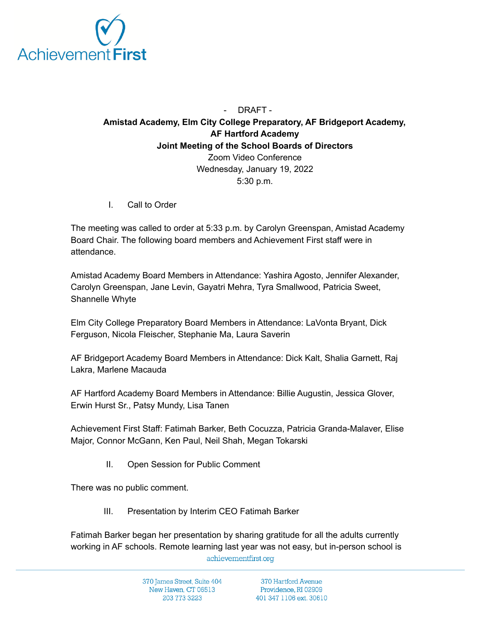

## - DRAFT - **Amistad Academy, Elm City College Preparatory, AF Bridgeport Academy, AF Hartford Academy Joint Meeting of the School Boards of Directors** Zoom Video Conference Wednesday, January 19, 2022 5:30 p.m.

I. Call to Order

The meeting was called to order at 5:33 p.m. by Carolyn Greenspan, Amistad Academy Board Chair. The following board members and Achievement First staff were in attendance.

Amistad Academy Board Members in Attendance: Yashira Agosto, Jennifer Alexander, Carolyn Greenspan, Jane Levin, Gayatri Mehra, Tyra Smallwood, Patricia Sweet, Shannelle Whyte

Elm City College Preparatory Board Members in Attendance: LaVonta Bryant, Dick Ferguson, Nicola Fleischer, Stephanie Ma, Laura Saverin

AF Bridgeport Academy Board Members in Attendance: Dick Kalt, Shalia Garnett, Raj Lakra, Marlene Macauda

AF Hartford Academy Board Members in Attendance: Billie Augustin, Jessica Glover, Erwin Hurst Sr., Patsy Mundy, Lisa Tanen

Achievement First Staff: Fatimah Barker, Beth Cocuzza, Patricia Granda-Malaver, Elise Major, Connor McGann, Ken Paul, Neil Shah, Megan Tokarski

II. Open Session for Public Comment

There was no public comment.

III. Presentation by Interim CEO Fatimah Barker

Fatimah Barker began her presentation by sharing gratitude for all the adults currently working in AF schools. Remote learning last year was not easy, but in-person school isachievementfirst.org